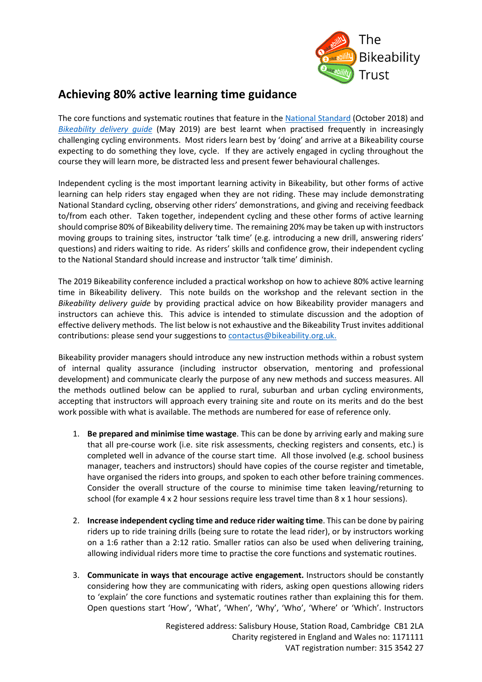

## **Achieving 80% active learning time guidance**

The core functions and systematic routines that feature in the [National Standard](https://professionals.bikeability.org.uk/download/6917/) (October 2018) and *[Bikeability delivery guide](https://professionals.bikeability.org.uk/download/6668/)* (May 2019) are best learnt when practised frequently in increasingly challenging cycling environments. Most riders learn best by 'doing' and arrive at a Bikeability course expecting to do something they love, cycle. If they are actively engaged in cycling throughout the course they will learn more, be distracted less and present fewer behavioural challenges.

Independent cycling is the most important learning activity in Bikeability, but other forms of active learning can help riders stay engaged when they are not riding. These may include demonstrating National Standard cycling, observing other riders' demonstrations, and giving and receiving feedback to/from each other. Taken together, independent cycling and these other forms of active learning should comprise 80% of Bikeability delivery time. The remaining 20% may be taken up with instructors moving groups to training sites, instructor 'talk time' (e.g. introducing a new drill, answering riders' questions) and riders waiting to ride. As riders' skills and confidence grow, their independent cycling to the National Standard should increase and instructor 'talk time' diminish.

The 2019 Bikeability conference included a practical workshop on how to achieve 80% active learning time in Bikeability delivery. This note builds on the workshop and the relevant section in the *Bikeability delivery guide* by providing practical advice on how Bikeability provider managers and instructors can achieve this. This advice is intended to stimulate discussion and the adoption of effective delivery methods. The list below is not exhaustive and the Bikeability Trust invites additional contributions: please send your suggestions to [contactus@bikeability.org.uk.](mailto:contactus@bikeability.org.uk)

Bikeability provider managers should introduce any new instruction methods within a robust system of internal quality assurance (including instructor observation, mentoring and professional development) and communicate clearly the purpose of any new methods and success measures. All the methods outlined below can be applied to rural, suburban and urban cycling environments, accepting that instructors will approach every training site and route on its merits and do the best work possible with what is available. The methods are numbered for ease of reference only.

- 1. **Be prepared and minimise time wastage**. This can be done by arriving early and making sure that all pre-course work (i.e. site risk assessments, checking registers and consents, etc.) is completed well in advance of the course start time. All those involved (e.g. school business manager, teachers and instructors) should have copies of the course register and timetable, have organised the riders into groups, and spoken to each other before training commences. Consider the overall structure of the course to minimise time taken leaving/returning to school (for example 4 x 2 hour sessions require less travel time than 8 x 1 hour sessions).
- 2. **Increase independent cycling time and reduce rider waiting time**. This can be done by pairing riders up to ride training drills (being sure to rotate the lead rider), or by instructors working on a 1:6 rather than a 2:12 ratio. Smaller ratios can also be used when delivering training, allowing individual riders more time to practise the core functions and systematic routines.
- 3. **Communicate in ways that encourage active engagement.** Instructors should be constantly considering how they are communicating with riders, asking open questions allowing riders to 'explain' the core functions and systematic routines rather than explaining this for them. Open questions start 'How', 'What', 'When', 'Why', 'Who', 'Where' or 'Which'. Instructors

Registered address: Salisbury House, Station Road, Cambridge CB1 2LA Charity registered in England and Wales no: 1171111 VAT registration number: 315 3542 27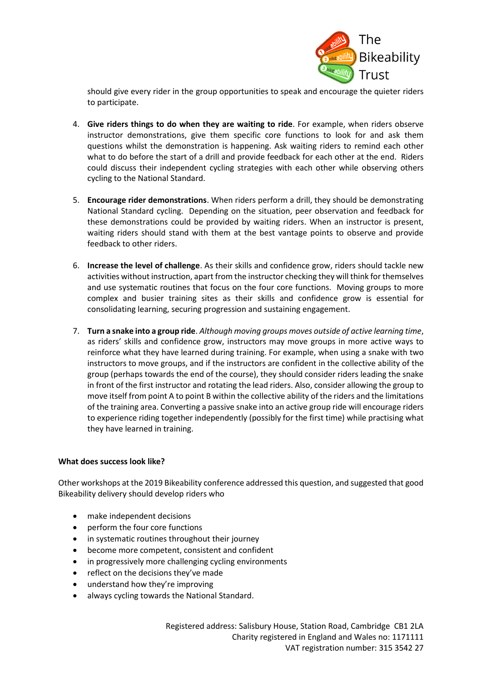

should give every rider in the group opportunities to speak and encourage the quieter riders to participate.

- 4. **Give riders things to do when they are waiting to ride**. For example, when riders observe instructor demonstrations, give them specific core functions to look for and ask them questions whilst the demonstration is happening. Ask waiting riders to remind each other what to do before the start of a drill and provide feedback for each other at the end. Riders could discuss their independent cycling strategies with each other while observing others cycling to the National Standard.
- 5. **Encourage rider demonstrations**. When riders perform a drill, they should be demonstrating National Standard cycling. Depending on the situation, peer observation and feedback for these demonstrations could be provided by waiting riders. When an instructor is present, waiting riders should stand with them at the best vantage points to observe and provide feedback to other riders.
- 6. **Increase the level of challenge**. As their skills and confidence grow, riders should tackle new activities without instruction, apart from the instructor checking they will think for themselves and use systematic routines that focus on the four core functions. Moving groups to more complex and busier training sites as their skills and confidence grow is essential for consolidating learning, securing progression and sustaining engagement.
- 7. **Turn a snake into a group ride**. *Although moving groups moves outside of active learning time*, as riders' skills and confidence grow, instructors may move groups in more active ways to reinforce what they have learned during training. For example, when using a snake with two instructors to move groups, and if the instructors are confident in the collective ability of the group (perhaps towards the end of the course), they should consider riders leading the snake in front of the first instructor and rotating the lead riders. Also, consider allowing the group to move itself from point A to point B within the collective ability of the riders and the limitations of the training area. Converting a passive snake into an active group ride will encourage riders to experience riding together independently (possibly for the first time) while practising what they have learned in training.

## **What does success look like?**

Other workshops at the 2019 Bikeability conference addressed this question, and suggested that good Bikeability delivery should develop riders who

- make independent decisions
- perform the four core functions
- in systematic routines throughout their journey
- become more competent, consistent and confident
- in progressively more challenging cycling environments
- reflect on the decisions they've made
- understand how they're improving
- always cycling towards the National Standard.

Registered address: Salisbury House, Station Road, Cambridge CB1 2LA Charity registered in England and Wales no: 1171111 VAT registration number: 315 3542 27